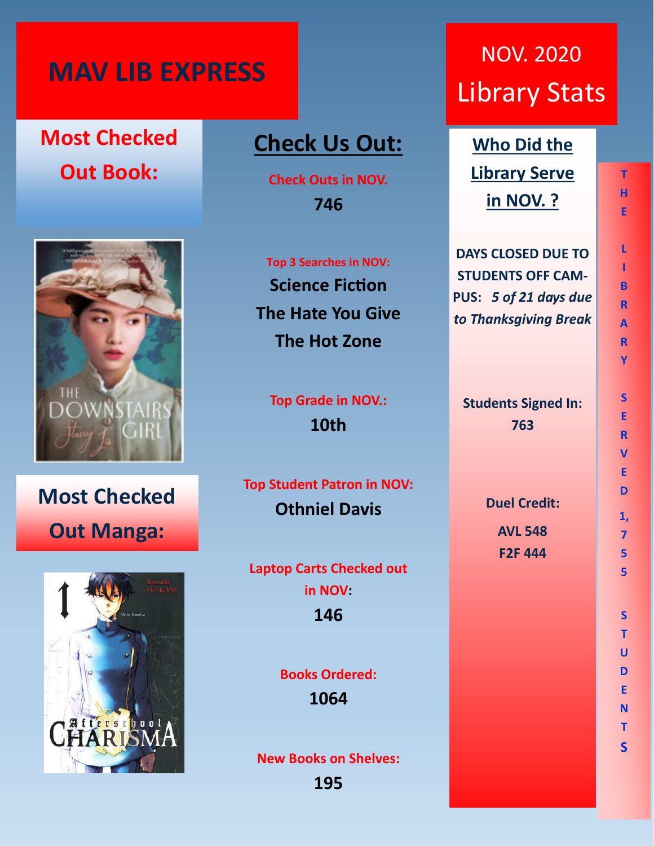## **MAV LIB EXPRESS**

## **Most Checked Out Book:**



**Most Checked Out Manga:**



### **Check Us Out:**

**Check Outs in NOV. 746**

**Top 3 Searches in NOV: Science Fiction The Hate You Give The Hot Zone**

**Top Grade in NOV.: 10th**

**Top Student Patron in NOV: Othniel Davis**

**Laptop Carts Checked out in NOV: 146**

> **Books Ordered: 1064**

**New Books on Shelves:**

**195**

# NOV. 2020 Library Stats

**Who Did the Library Serve in NOV. ?**

**DAYS CLOSED DUE TO STUDENTS OFF CAM-PUS:** *5 of 21 days due to Thanksgiving Break*

**Students Signed In: 763**

> **Duel Credit: AVL 548 F2F 444**